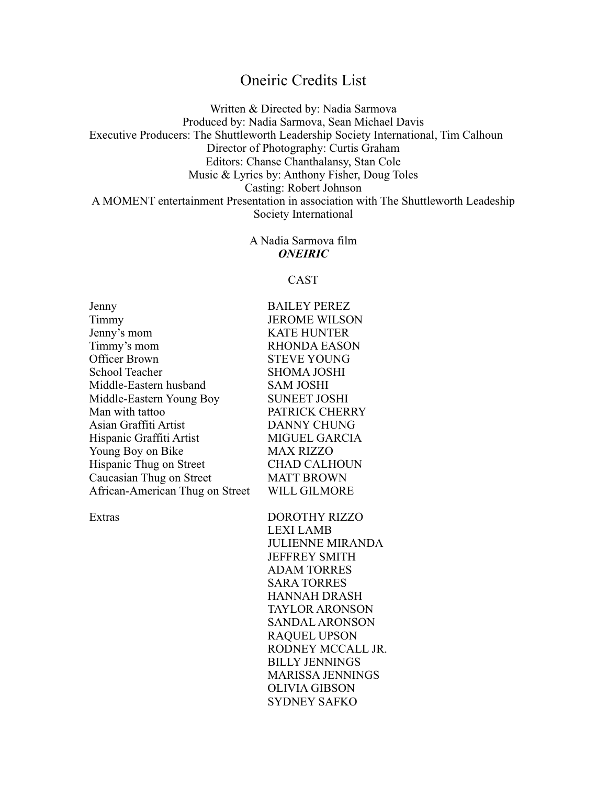## Oneiric Credits List

Written & Directed by: Nadia Sarmova Produced by: Nadia Sarmova, Sean Michael Davis Executive Producers: The Shuttleworth Leadership Society International, Tim Calhoun Director of Photography: Curtis Graham Editors: Chanse Chanthalansy, Stan Cole Music & Lyrics by: Anthony Fisher, Doug Toles Casting: Robert Johnson A MOMENT entertainment Presentation in association with The Shuttleworth Leadeship Society International

> A Nadia Sarmova film *ONEIRIC*

## CAST

| Jenny                           | <b>BAILEY PEREZ</b>  |
|---------------------------------|----------------------|
| Timmy                           | <b>JEROME WILSON</b> |
| Jenny's mom                     | <b>KATE HUNTER</b>   |
| Timmy's mom                     | <b>RHONDA EASON</b>  |
| <b>Officer Brown</b>            | <b>STEVE YOUNG</b>   |
| <b>School Teacher</b>           | <b>SHOMA JOSHI</b>   |
| Middle-Eastern husband          | <b>SAM JOSHI</b>     |
| Middle-Eastern Young Boy        | <b>SUNEET JOSHI</b>  |
| Man with tattoo                 | PATRICK CHERRY       |
| Asian Graffiti Artist           | <b>DANNY CHUNG</b>   |
| Hispanic Graffiti Artist        | <b>MIGUEL GARCIA</b> |
| Young Boy on Bike               | <b>MAX RIZZO</b>     |
| Hispanic Thug on Street         | <b>CHAD CALHOUN</b>  |
| Caucasian Thug on Street        | <b>MATT BROWN</b>    |
| African-American Thug on Street | WILL GILMORE         |
|                                 |                      |

Extras DOROTHY RIZZO LEXI LAMB JULIENNE MIRANDA JEFFREY SMITH ADAM TORRES SARA TORRES HANNAH DRASH TAYLOR ARONSON SANDAL ARONSON RAQUEL UPSON RODNEY MCCALL JR. BILLY JENNINGS MARISSA JENNINGS OLIVIA GIBSON SYDNEY SAFKO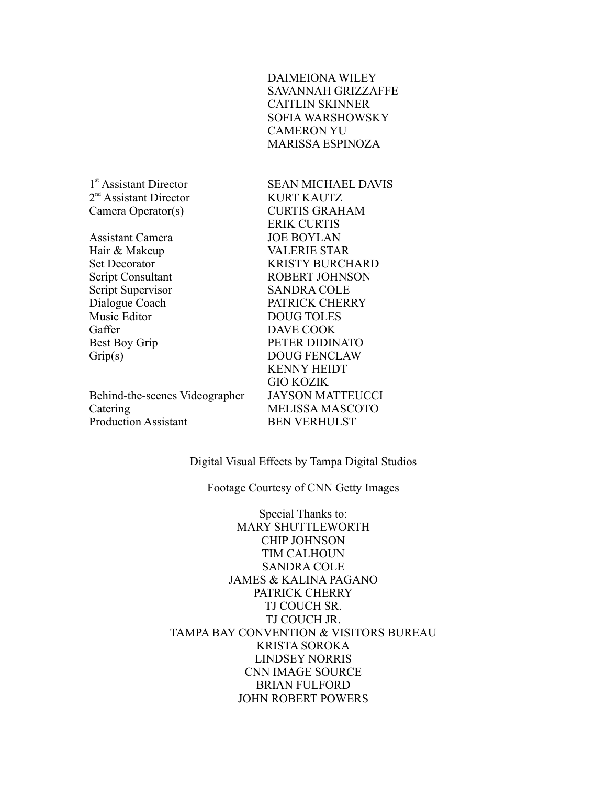DAIMEIONA WILEY SAVANNAH GRIZZAFFE CAITLIN SKINNER SOFIA WARSHOWSKY CAMERON YU MARISSA ESPINOZA

 $2<sup>nd</sup>$  Assistant Director KURT KAUTZ

Assistant Camera JOE BOYLAN Hair & Makeup VALERIE STAR Script Supervisor SANDRA COLE Music Editor DOUG TOLES Gaffer DAVE COOK

Behind-the-scenes Videographer JAYSON MATTEUCCI Catering MELISSA MASCOTO Production Assistant BEN VERHULST

1<sup>st</sup> Assistant Director SEAN MICHAEL DAVIS Camera Operator(s) CURTIS GRAHAM ERIK CURTIS Set Decorator **KRISTY BURCHARD** Script Consultant ROBERT JOHNSON Dialogue Coach PATRICK CHERRY Best Boy Grip PETER DIDINATO Grip(s) DOUG FENCLAW KENNY HEIDT GIO KOZIK

Digital Visual Effects by Tampa Digital Studios

Footage Courtesy of CNN Getty Images

Special Thanks to: MARY SHUTTLEWORTH CHIP JOHNSON TIM CALHOUN SANDRA COLE JAMES & KALINA PAGANO PATRICK CHERRY TJ COUCH SR. TJ COUCH JR. TAMPA BAY CONVENTION & VISITORS BUREAU KRISTA SOROKA LINDSEY NORRIS CNN IMAGE SOURCE BRIAN FULFORD JOHN ROBERT POWERS